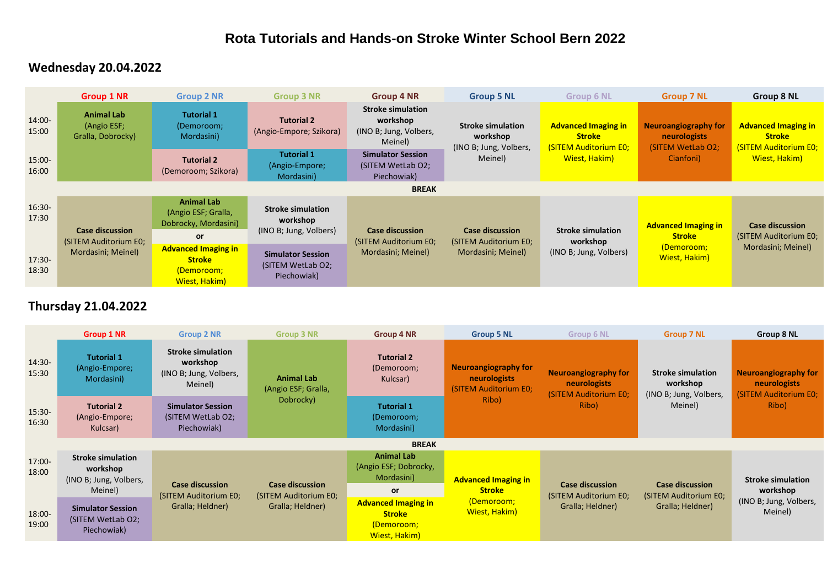## **Rota Tutorials and Hands-on Stroke Winter School Bern 2022**

## **Wednesday 20.04.2022**

|                    | <b>Group 1 NR</b>                                                     | <b>Group 2 NR</b>                                                             | <b>Group 3 NR</b>                                              | Group 4 NR                                                                | <b>Group 5 NL</b>                                                     | <b>Group 6 NL</b>                                                    | <b>Group 7 NL</b>                                                          | <b>Group 8 NL</b>                                                     |
|--------------------|-----------------------------------------------------------------------|-------------------------------------------------------------------------------|----------------------------------------------------------------|---------------------------------------------------------------------------|-----------------------------------------------------------------------|----------------------------------------------------------------------|----------------------------------------------------------------------------|-----------------------------------------------------------------------|
| 14:00-<br>15:00    | <b>Animal Lab</b><br>(Angio ESF;<br>Gralla, Dobrocky)                 | <b>Tutorial 1</b><br>(Demoroom;<br>Mordasini)                                 | <b>Tutorial 2</b><br>(Angio-Empore; Szikora)                   | <b>Stroke simulation</b><br>workshop<br>(INO B; Jung, Volbers,<br>Meinel) | <b>Stroke simulation</b><br>workshop<br>(INO B; Jung, Volbers,        | <b>Advanced Imaging in</b><br><b>Stroke</b><br>(SITEM Auditorium E0; | <b>Neuroangiography for</b><br>neurologists<br>(SITEM WetLab O2;           | <b>Advanced Imaging in</b><br><b>Stroke</b><br>(SITEM Auditorium E0;  |
| $15:00 -$<br>16:00 |                                                                       | <b>Tutorial 2</b><br>(Demoroom; Szikora)                                      | <b>Tutorial 1</b><br>(Angio-Empore;<br>Mordasini)              | <b>Simulator Session</b><br>(SITEM WetLab O2;<br>Piechowiak)              | Meinel)                                                               | Wiest, Hakim)                                                        | Cianfoni)                                                                  | Wiest, Hakim)                                                         |
|                    | <b>BREAK</b>                                                          |                                                                               |                                                                |                                                                           |                                                                       |                                                                      |                                                                            |                                                                       |
| $16:30-$<br>17:30  | <b>Case discussion</b><br>(SITEM Auditorium E0;<br>Mordasini; Meinel) | <b>Animal Lab</b><br>(Angio ESF; Gralla,<br>Dobrocky, Mordasini)<br><b>or</b> | <b>Stroke simulation</b><br>workshop<br>(INO B; Jung, Volbers) | <b>Case discussion</b><br>(SITEM Auditorium E0;<br>Mordasini; Meinel)     | <b>Case discussion</b><br>(SITEM Auditorium E0;<br>Mordasini; Meinel) | <b>Stroke simulation</b><br>workshop<br>(INO B; Jung, Volbers)       | <b>Advanced Imaging in</b><br><b>Stroke</b><br>(Demoroom;<br>Wiest, Hakim) | <b>Case discussion</b><br>(SITEM Auditorium E0;<br>Mordasini; Meinel) |
| 17:30-<br>18:30    |                                                                       | <b>Advanced Imaging in</b><br><b>Stroke</b><br>(Demoroom;<br>Wiest, Hakim)    | <b>Simulator Session</b><br>(SITEM WetLab O2;<br>Piechowiak)   |                                                                           |                                                                       |                                                                      |                                                                            |                                                                       |

## **Thursday 21.04.2022**

|                    | <b>Group 1 NR</b>                                              | <b>Group 2 NR</b>                                                         | <b>Group 3 NR</b>                                                   | <b>Group 4 NR</b>                                                          | <b>Group 5 NL</b>                                                             | <b>Group 6 NL</b>                                                             | <b>Group 7 NL</b>                                                         | Group 8 NL                                                                           |
|--------------------|----------------------------------------------------------------|---------------------------------------------------------------------------|---------------------------------------------------------------------|----------------------------------------------------------------------------|-------------------------------------------------------------------------------|-------------------------------------------------------------------------------|---------------------------------------------------------------------------|--------------------------------------------------------------------------------------|
| 14:30-<br>15:30    | <b>Tutorial 1</b><br>(Angio-Empore;<br>Mordasini)              | <b>Stroke simulation</b><br>workshop<br>(INO B; Jung, Volbers,<br>Meinel) | <b>Animal Lab</b><br>(Angio ESF; Gralla,<br>Dobrocky)               | <b>Tutorial 2</b><br>(Demoroom;<br>Kulcsar)                                | <b>Neuroangiography for</b><br>neurologists<br>(SITEM Auditorium E0;<br>Ribo) | <b>Neuroangiography for</b><br>neurologists<br>(SITEM Auditorium E0;<br>Ribo) | <b>Stroke simulation</b><br>workshop<br>(INO B; Jung, Volbers,<br>Meinel) | <b>Neuroangiography for</b><br><b>neurologists</b><br>(SITEM Auditorium E0;<br>Ribo) |
| 15:30-<br>16:30    | <b>Tutorial 2</b><br>(Angio-Empore;<br>Kulcsar)                | <b>Simulator Session</b><br>(SITEM WetLab O2;<br>Piechowiak)              |                                                                     | <b>Tutorial 1</b><br>(Demoroom;<br>Mordasini)                              |                                                                               |                                                                               |                                                                           |                                                                                      |
|                    | <b>BREAK</b>                                                   |                                                                           |                                                                     |                                                                            |                                                                               |                                                                               |                                                                           |                                                                                      |
| $17:00 -$<br>18:00 | <b>Stroke simulation</b><br>workshop<br>(INO B; Jung, Volbers, | <b>Case discussion</b><br>(SITEM Auditorium E0;<br>Gralla; Heldner)       | <b>Case discussion</b><br>(SITEM Auditorium E0;<br>Gralla; Heldner) | <b>Animal Lab</b><br>(Angio ESF; Dobrocky,<br>Mordasini)                   | <b>Advanced Imaging in</b><br><b>Stroke</b><br>(Demoroom;<br>Wiest, Hakim)    | <b>Case discussion</b><br>(SITEM Auditorium E0;<br>Gralla; Heldner)           | <b>Case discussion</b><br>(SITEM Auditorium E0;<br>Gralla; Heldner)       | <b>Stroke simulation</b><br>workshop<br>(INO B; Jung, Volbers,<br>Meinel)            |
|                    | Meinel)                                                        |                                                                           |                                                                     | <b>or</b>                                                                  |                                                                               |                                                                               |                                                                           |                                                                                      |
| 18:00-<br>19:00    | <b>Simulator Session</b><br>(SITEM WetLab O2;<br>Piechowiak)   |                                                                           |                                                                     | <b>Advanced Imaging in</b><br><b>Stroke</b><br>(Demoroom;<br>Wiest, Hakim) |                                                                               |                                                                               |                                                                           |                                                                                      |